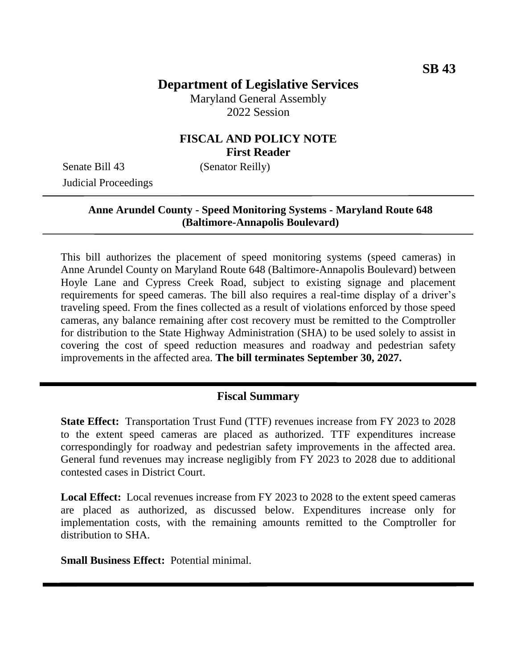Maryland General Assembly 2022 Session

### **FISCAL AND POLICY NOTE First Reader**

Senate Bill 43 (Senator Reilly) Judicial Proceedings

#### **Anne Arundel County - Speed Monitoring Systems - Maryland Route 648 (Baltimore-Annapolis Boulevard)**

This bill authorizes the placement of speed monitoring systems (speed cameras) in Anne Arundel County on Maryland Route 648 (Baltimore-Annapolis Boulevard) between Hoyle Lane and Cypress Creek Road, subject to existing signage and placement requirements for speed cameras. The bill also requires a real-time display of a driver's traveling speed. From the fines collected as a result of violations enforced by those speed cameras, any balance remaining after cost recovery must be remitted to the Comptroller for distribution to the State Highway Administration (SHA) to be used solely to assist in covering the cost of speed reduction measures and roadway and pedestrian safety improvements in the affected area. **The bill terminates September 30, 2027.**

# **Fiscal Summary**

**State Effect:** Transportation Trust Fund (TTF) revenues increase from FY 2023 to 2028 to the extent speed cameras are placed as authorized. TTF expenditures increase correspondingly for roadway and pedestrian safety improvements in the affected area. General fund revenues may increase negligibly from FY 2023 to 2028 due to additional contested cases in District Court.

**Local Effect:** Local revenues increase from FY 2023 to 2028 to the extent speed cameras are placed as authorized, as discussed below. Expenditures increase only for implementation costs, with the remaining amounts remitted to the Comptroller for distribution to SHA

**Small Business Effect:** Potential minimal.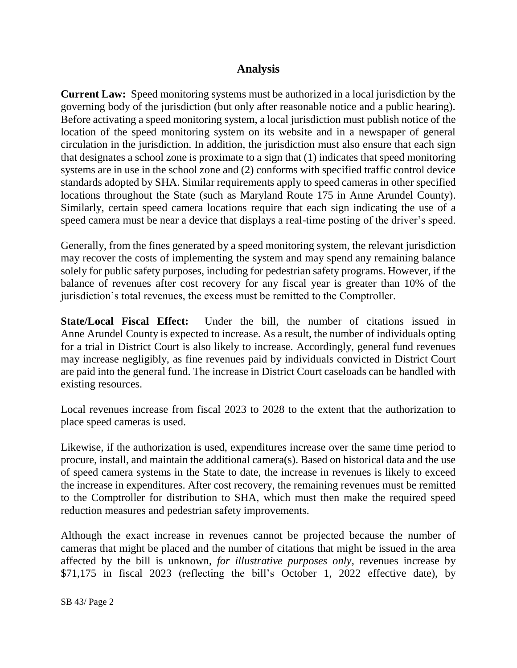#### **Analysis**

**Current Law:** Speed monitoring systems must be authorized in a local jurisdiction by the governing body of the jurisdiction (but only after reasonable notice and a public hearing). Before activating a speed monitoring system, a local jurisdiction must publish notice of the location of the speed monitoring system on its website and in a newspaper of general circulation in the jurisdiction. In addition, the jurisdiction must also ensure that each sign that designates a school zone is proximate to a sign that (1) indicates that speed monitoring systems are in use in the school zone and (2) conforms with specified traffic control device standards adopted by SHA. Similar requirements apply to speed cameras in other specified locations throughout the State (such as Maryland Route 175 in Anne Arundel County). Similarly, certain speed camera locations require that each sign indicating the use of a speed camera must be near a device that displays a real-time posting of the driver's speed.

Generally, from the fines generated by a speed monitoring system, the relevant jurisdiction may recover the costs of implementing the system and may spend any remaining balance solely for public safety purposes, including for pedestrian safety programs. However, if the balance of revenues after cost recovery for any fiscal year is greater than 10% of the jurisdiction's total revenues, the excess must be remitted to the Comptroller.

**State/Local Fiscal Effect:** Under the bill, the number of citations issued in Anne Arundel County is expected to increase. As a result, the number of individuals opting for a trial in District Court is also likely to increase. Accordingly, general fund revenues may increase negligibly, as fine revenues paid by individuals convicted in District Court are paid into the general fund. The increase in District Court caseloads can be handled with existing resources.

Local revenues increase from fiscal 2023 to 2028 to the extent that the authorization to place speed cameras is used.

Likewise, if the authorization is used, expenditures increase over the same time period to procure, install, and maintain the additional camera(s). Based on historical data and the use of speed camera systems in the State to date, the increase in revenues is likely to exceed the increase in expenditures. After cost recovery, the remaining revenues must be remitted to the Comptroller for distribution to SHA, which must then make the required speed reduction measures and pedestrian safety improvements.

Although the exact increase in revenues cannot be projected because the number of cameras that might be placed and the number of citations that might be issued in the area affected by the bill is unknown, *for illustrative purposes only*, revenues increase by \$71,175 in fiscal 2023 (reflecting the bill's October 1, 2022 effective date), by